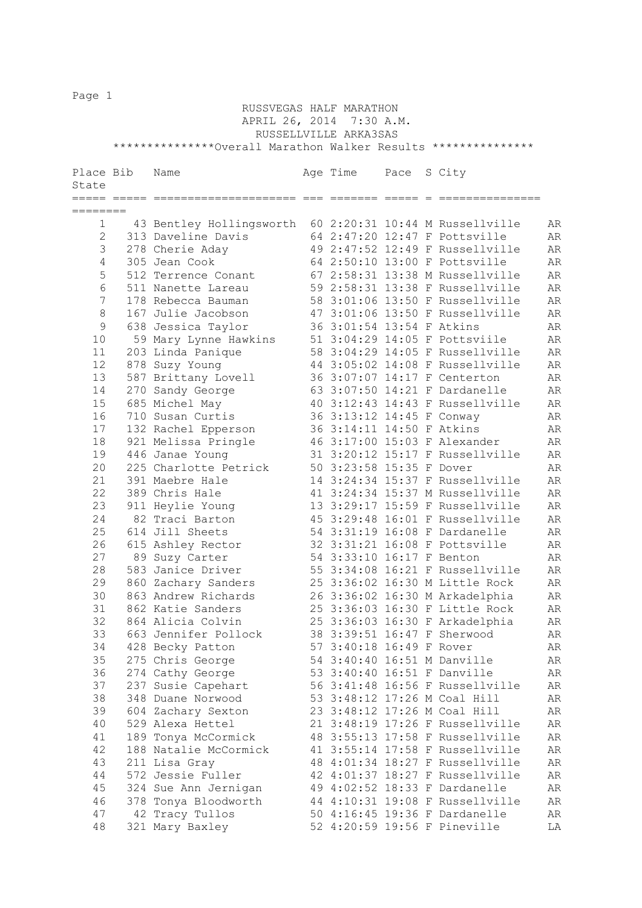Page 1

## RUSSVEGAS HALF MARATHON APRIL 26, 2014 7:30 A.M. RUSSELLVILLE ARKA3SAS \*\*\*\*\*\*\*\*\*\*\*\*\*\*\*Overall Marathon Walker Results \*\*\*\*\*\*\*\*\*\*\*\*\*\*\*

| Place Bib<br>State | Name                     | Age Time                  | Pace | S City                          |    |
|--------------------|--------------------------|---------------------------|------|---------------------------------|----|
| ===== ==:          | ====================     | seesses esses e           |      | _________________               |    |
| ========           |                          |                           |      |                                 |    |
| $\mathbf{1}$       | 43 Bentley Hollingsworth |                           |      | 60 2:20:31 10:44 M Russellville | AR |
| $\overline{2}$     | 313 Daveline Davis       |                           |      | 64 2:47:20 12:47 F Pottsville   | AR |
| 3                  | 278 Cherie Aday          |                           |      | 49 2:47:52 12:49 F Russellville | AR |
| 4                  | 305 Jean Cook            |                           |      | 64 2:50:10 13:00 F Pottsville   | AR |
| 5                  | 512 Terrence Conant      |                           |      | 67 2:58:31 13:38 M Russellville | AR |
| 6                  | 511 Nanette Lareau       |                           |      | 59 2:58:31 13:38 F Russellville | AR |
| 7                  | 178 Rebecca Bauman       |                           |      | 58 3:01:06 13:50 F Russellville | AR |
| 8                  | 167 Julie Jacobson       |                           |      | 47 3:01:06 13:50 F Russellville | AR |
| $\mathsf 9$        | 638 Jessica Taylor       | 36 3:01:54 13:54 F Atkins |      |                                 | AR |
| 10                 | 59 Mary Lynne Hawkins    |                           |      | 51 3:04:29 14:05 F Pottsviile   | AR |
| 11                 | 203 Linda Panique        |                           |      | 58 3:04:29 14:05 F Russellville | AR |
| 12                 | 878 Suzy Young           |                           |      | 44 3:05:02 14:08 F Russellville | AR |
| 13                 | 587 Brittany Lovell      |                           |      | 36 3:07:07 14:17 F Centerton    | AR |
| 14                 | 270 Sandy George         |                           |      | 63 3:07:50 14:21 F Dardanelle   | AR |
| 15                 | 685 Michel May           |                           |      | 40 3:12:43 14:43 F Russellville | AR |
| 16                 | 710 Susan Curtis         | 36 3:13:12 14:45 F Conway |      |                                 | AR |
| 17                 | 132 Rachel Epperson      | 36 3:14:11 14:50 F Atkins |      |                                 | AR |
| 18                 | 921 Melissa Pringle      |                           |      | 46 3:17:00 15:03 F Alexander    | AR |
| 19                 | 446 Janae Young          |                           |      | 31 3:20:12 15:17 F Russellville | AR |
| 20                 | 225 Charlotte Petrick    | 50 3:23:58 15:35 F Dover  |      |                                 | AR |
| 21                 | 391 Maebre Hale          |                           |      | 14 3:24:34 15:37 F Russellville | AR |
| 22                 | 389 Chris Hale           |                           |      | 41 3:24:34 15:37 M Russellville | AR |
| 23                 | 911 Heylie Young         |                           |      | 13 3:29:17 15:59 F Russellville | AR |
| 24                 | 82 Traci Barton          |                           |      | 45 3:29:48 16:01 F Russellville | AR |
| 25                 | 614 Jill Sheets          |                           |      | 54 3:31:19 16:08 F Dardanelle   | AR |
| 26                 | 615 Ashley Rector        |                           |      | 32 3:31:21 16:08 F Pottsville   | AR |
| 27                 | 89 Suzy Carter           | 54 3:33:10 16:17 F Benton |      |                                 | AR |
| 28                 | 583 Janice Driver        |                           |      | 55 3:34:08 16:21 F Russellville | AR |
| 29                 | 860 Zachary Sanders      |                           |      | 25 3:36:02 16:30 M Little Rock  | AR |
| 30                 | 863 Andrew Richards      |                           |      | 26 3:36:02 16:30 M Arkadelphia  | AR |
| 31                 | 862 Katie Sanders        |                           |      | 25 3:36:03 16:30 F Little Rock  | AR |
| 32                 | 864 Alicia Colvin        |                           |      | 25 3:36:03 16:30 F Arkadelphia  | AR |
| 33                 | 663 Jennifer Pollock     |                           |      | 38 3:39:51 16:47 F Sherwood     | AR |
| 34                 | 428 Becky Patton         | 57 3:40:18 16:49 F Rover  |      |                                 | AR |
| 35                 | 275 Chris George         |                           |      | 54 3:40:40 16:51 M Danville     | AR |
| 36                 | 274 Cathy George         |                           |      | 53 3:40:40 16:51 F Danville     | AR |
| 37                 | 237 Susie Capehart       |                           |      | 56 3:41:48 16:56 F Russellville | AR |
| 38                 | 348 Duane Norwood        |                           |      | 53 3:48:12 17:26 M Coal Hill    | AR |
| 39                 | 604 Zachary Sexton       |                           |      | 23 3:48:12 17:26 M Coal Hill    | AR |
| 40                 | 529 Alexa Hettel         |                           |      | 21 3:48:19 17:26 F Russellville | AR |
| 41                 | 189 Tonya McCormick      |                           |      | 48 3:55:13 17:58 F Russellville | AR |
| 42                 | 188 Natalie McCormick    |                           |      | 41 3:55:14 17:58 F Russellville | AR |
| 43                 | 211 Lisa Gray            |                           |      | 48 4:01:34 18:27 F Russellville | AR |
| 44                 | 572 Jessie Fuller        |                           |      | 42 4:01:37 18:27 F Russellville | AR |
| 45                 | 324 Sue Ann Jernigan     |                           |      | 49 4:02:52 18:33 F Dardanelle   | AR |
| 46                 | 378 Tonya Bloodworth     |                           |      | 44 4:10:31 19:08 F Russellville | AR |
| 47                 | 42 Tracy Tullos          |                           |      | 50 4:16:45 19:36 F Dardanelle   | AR |
| 48                 | 321 Mary Baxley          |                           |      | 52 4:20:59 19:56 F Pineville    | LA |
|                    |                          |                           |      |                                 |    |